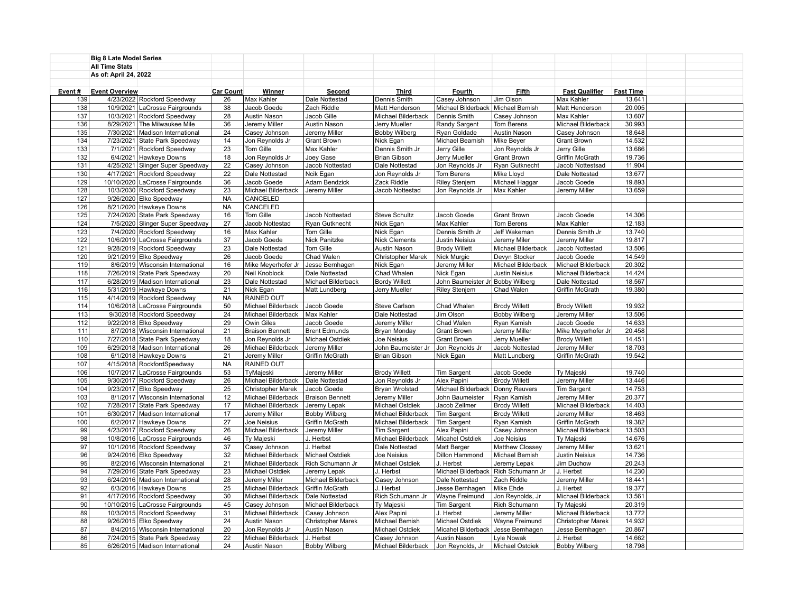|        | <b>Big 8 Late Model Series</b> |                                   |                  |                          |                        |                      |                                    |                       |                        |                  |  |
|--------|--------------------------------|-----------------------------------|------------------|--------------------------|------------------------|----------------------|------------------------------------|-----------------------|------------------------|------------------|--|
|        | <b>All Time Stats</b>          |                                   |                  |                          |                        |                      |                                    |                       |                        |                  |  |
|        | As of: April 24, 2022          |                                   |                  |                          |                        |                      |                                    |                       |                        |                  |  |
|        |                                |                                   |                  |                          |                        |                      |                                    |                       |                        |                  |  |
| Event# | <b>Event Overview</b>          |                                   | <b>Car Count</b> | <b>Winner</b>            | Second                 | <b>Third</b>         | <b>Fourth</b>                      | <b>Fifth</b>          | <b>Fast Qualifier</b>  | <b>Fast Time</b> |  |
| 139    |                                | 4/23/2022 Rockford Speedway       | 26               | Max Kahler               | Dale Nottestad         | Dennis Smith         | Casey Johnson                      | Jim Olson             | Max Kahler             | 13.641           |  |
| 138    |                                | 10/9/2021 LaCrosse Fairgrounds    | 38               | Jacob Goede              | Zach Riddle            | Matt Henderson       | Michael Bilderback                 | Michael Bemish        | Matt Henderson         | 20.005           |  |
| 137    |                                | 10/3/2021 Rockford Speedway       | 28               | Austin Nason             | Jacob Gille            | Michael Bilderback   | Dennis Smith                       | Casey Johnson         | Max Kahler             | 13.607           |  |
| 136    |                                | 8/29/2021 The Milwaukee Mile      | 36               | Jeremy Miller            | Austin Nason           | Jerry Mueller        | Randy Sargent                      | Tom Berens            | Michael Bilderback     | 30.993           |  |
| 135    |                                | 7/30/2021 Madison International   | 24               | Casey Johnson            | Jeremy Miller          | <b>Bobby Wilberg</b> | Ryan Goldade                       | Austin Nason          | Casey Johnson          | 18.648           |  |
| 134    | 7/23/2021                      |                                   | 14               |                          |                        |                      |                                    | Mike Beyer            |                        | 14.532           |  |
|        |                                | State Park Speedway               | 23               | Jon Reynolds Jr          | <b>Grant Brown</b>     | Nick Egan            | Michael Beamish                    |                       | <b>Grant Brown</b>     | 13.686           |  |
| 133    |                                | 7/1/2021 Rockford Speedway        |                  | Tom Gille                | Max Kahler             | Dennis Smith Jr      | Jerry Gille                        | Jon Reynolds Jr       | Jerry Gille            |                  |  |
| 132    |                                | 6/4/2021 Hawkeye Downs            | 18               | Jon Reynolds Jr          | Joey Gase              | <b>Brian Gibson</b>  | Jerry Mueller                      | <b>Grant Brown</b>    | Griffin McGrath        | 19.736           |  |
| 131    |                                | 4/25/2021 Slinger Super Speedway  | 22               | Casey Johnson            | Jacob Nottestad        | Dale Nottestad       | Jon Reynolds Jr                    | Ryan Gutknecht        | Jacob Nottestsad       | 11.904           |  |
| 130    |                                | 4/17/2021 Rockford Speedway       | 22               | Dale Nottestad           | Ncik Egan              | Jon Reynolds Jr      | Tom Berens                         | Mike Lloyd            | Dale Nottestad         | 13.677           |  |
| 129    |                                | 10/10/2020 LaCrosse Fairgrounds   | 36               | Jacob Goede              | Adam Bendzick          | Zack Riddle          | Riley Stenjem                      | Michael Haggar        | Jacob Goede            | 19.893           |  |
| 128    |                                | 10/3/2030 Rockford Speedway       | 23               | Michael Bilderback       | Jeremy Miller          | Jacob Nottestad      | Jon Reynolds Jr                    | Max Kahler            | Jeremy Miller          | 13.659           |  |
| 127    |                                | 9/26/2020 Elko Speedway           | <b>NA</b>        | CANCELED                 |                        |                      |                                    |                       |                        |                  |  |
| 126    |                                | 8/21/2020 Hawkeye Downs           | <b>NA</b>        | CANCELED                 |                        |                      |                                    |                       |                        |                  |  |
| 125    |                                | 7/24/2020 State Park Speedway     | 16               | Tom Gille                | Jacob Nottestad        | <b>Steve Schultz</b> | Jacob Goede                        | <b>Grant Brown</b>    | Jacob Goede            | 14.306           |  |
| 124    |                                | 7/5/2020 Slinger Super Speedway   | 27               | Jacob Nottestad          | Ryan Gutknecht         | Nick Egan            | Max Kahler                         | Tom Berens            | Max Kahler             | 12.183           |  |
| 123    |                                | 7/4/2020 Rockford Speedway        | 16               | Max Kahler               | Tom Gille              | Nick Egan            | Dennis Smith Jr                    | Jeff Wakeman          | Dennis Smith Jr        | 13.740           |  |
| 122    |                                | 10/6/2019 LaCrosse Fairgrounds    | 37               | Jacob Goede              | Nick Panitzke          | <b>Nick Clements</b> | <b>Justin Neisius</b>              | Jeremy Miler          | Jeremy Miller          | 19.817           |  |
| 121    |                                | 9/28/2019 Rockford Speedway       | 23               | Dale Nottestad           | Tom Gille              | Austin Nason         | <b>Brody Willett</b>               | Michael Bilderback    | Jacob Nottestad        | 13.506           |  |
| 120    |                                | 9/21/2019 Elko Speedway           | 26               | Jacob Goede              | Chad Walen             | Christopher Marek    | Nick Murgic                        | Devyn Stocker         | Jacob Goede            | 14.549           |  |
| 119    |                                | 8/6/2019 Wisconsin International  | 16               | Mike Meyerhofer Jr       | Jesse Bernhagen        | Nick Egan            | Jeremy Miller                      | Michael Bilderback    | Michael Bilderback     | 20.302           |  |
| 118    |                                | 7/26/2019 State Park Speedway     | 20               | Neil Knoblock            | Dale Nottestad         | Chad Whalen          | Nick Egan                          | <b>Justin Neisius</b> | Michael Bilderback     | 14.424           |  |
| 117    |                                | 6/28/2019 Madison International   | 23               | Dale Nottestad           | Michael Bilderback     | <b>Bordy Willett</b> | John Baumeister J                  | <b>Bobby Wilberg</b>  | Dale Nottestad         | 18.567           |  |
| 116    |                                | 5/31/2019 Hawkeye Downs           | 21               | Nick Egan                | Matt Lundberg          | Jerry Mueller        | <b>Riley Stenjem</b>               | Chad Walen            | Griffin McGrath        | 19.380           |  |
| 115    |                                | 4/14/2019 Rockford Speedway       | <b>NA</b>        | RAINED OUT               |                        |                      |                                    |                       |                        |                  |  |
| 114    |                                | 10/6/2018 LaCrosse Fairgrounds    | 50               | Michael Bilderback       | Jacob Goede            | Steve Carlson        | Chad Whalen                        | <b>Brody Willett</b>  | <b>Brody Willett</b>   | 19.932           |  |
| 113    |                                | 9/302018 Rockford Speedway        | 24               | Michael Bilderback       | Max Kahler             | Dale Nottestad       | Jim Olson                          | <b>Bobby Wilberg</b>  | Jeremy Miller          | 13.506           |  |
| 112    |                                | 9/22/2018 Elko Speedway           | 29               | Owin Giles               | Jacob Goede            | Jeremy Miller        | Chad Walen                         | Ryan Kamish           | Jacob Goede            | 14.633           |  |
| 111    |                                | 8/7/2018 Wisconsin International  | 21               | <b>Braison Bennett</b>   | <b>Brent Edmunds</b>   | <b>Bryan Monday</b>  | <b>Grant Brown</b>                 | Jeremy Miller         | Mike Meyerhofer Jr     | 20.458           |  |
| 110    |                                | 7/27/2018 State Park Speedway     | 18               | Jon Reynolds Jr          | Michael Ostdiek        | Joe Neisius          | <b>Grant Brown</b>                 | Jerry Mueller         | <b>Brody Willett</b>   | 14.451           |  |
| 109    |                                | 6/29/2018 Madison International   | 26               | Michael Bilderback       | Jeremy Miller          | John Baumeister Jr   | Jon Reynolds Jr                    | Jacob Nottestad       | Jeremy Miller          | 18.703           |  |
| 108    |                                | 6/1/2018 Hawkeye Downs            | 21               | Jeremy Miller            | Griffin McGrath        | <b>Brian Gibson</b>  | Nick Egan                          | Matt Lundberg         | Griffin McGrath        | 19.542           |  |
| 107    |                                | 4/15/2018 RockfordSpeedway        | <b>NA</b>        | RAINED OUT               |                        |                      |                                    |                       |                        |                  |  |
| 106    |                                | 10/7/2017 LaCrosse Fairgrounds    | 53               | TyMajeski                | Jeremy Miller          | <b>Brody Willett</b> | <b>Tim Sargent</b>                 | Jacob Goede           | Ty Majeski             | 19.740           |  |
| 105    |                                | 9/30/2017 Rockford Speedway       | 26               | Michael Bilderback       | Dale Nottestad         | Jon Reynolds Jr      | Alex Papini                        | <b>Brody Willett</b>  | Jeremy Miller          | 13.446           |  |
| 104    |                                | 9/23/2017 Elko Speedway           | 25               | <b>Christopher Marek</b> | Jacob Goede            | Bryan Wrolstad       | Michael Bilderback   Donny Reuvers |                       | <b>Tim Sargent</b>     | 14.753           |  |
| 103    |                                | 8/1/2017 Wisconsin International  | 12               | Michael Bilderback       | <b>Braison Bennett</b> | Jeremy Miller        | John Baumeister                    | Ryan Kamish           | Jeremy Miller          | 20.377           |  |
| 102    |                                | 7/28/2017 State Park Speedway     | 17               | Michael Bilderback       | Jeremy Lepak           | Michael Ostdiek      | Jacob Zellmer                      | <b>Brody Willett</b>  | Michael Bilderback     | 14.403           |  |
| 101    |                                | 6/30/2017 Madison International   | 17               | Jeremy Miller            | <b>Bobby Wilberg</b>   | Michael Bilderback   | Tim Sargent                        | <b>Brody Willett</b>  | Jeremy Miller          | 18.463           |  |
| 100    |                                | 6/2/2017 Hawkeye Downs            | 27               | Joe Neisius              | Griffin McGrath        | Michael Bilderback   | Tim Sargent                        | Ryan Kamish           | <b>Griffin McGrath</b> | 19.382           |  |
| 99     |                                | 4/23/2017 Rockford Speedway       | 26               | Michael Bilderback       | Jeremy Miller          | <b>Tim Sargent</b>   | Alex Papini                        | Casey Johnson         | Michael Bilderback     | 13.503           |  |
| 98     |                                | 10/8/2016 LaCrosse Fairgrounds    | 46               | Ty Majeski               | J. Herbst              | Michael Bilderback   | Micahel Ostdiek                    | Joe Neisius           | Ty Majeski             | 14.676           |  |
| 97     |                                | 10/1/2016 Rockford Speedway       | 37               | Casey Johnson            | J. Herbst              | Dale Nottestad       | <b>Matt Berger</b>                 | Matthew Clossey       | Jeremy Miller          | 13.621           |  |
| 96     |                                | 9/24/2016 Elko Speedway           | 32               | Michael Bilderback       | Michael Ostdiek        | Joe Neisius          | Dillon Hammond                     | Michael Bemish        | Justin Neisius         | 14.736           |  |
| 95     |                                | 8/2/2016 Wisconsin International  | 21               | Michael Bilderback       | Rich Schumann Jr       | Michael Ostdiek      | J. Herbst                          | Jeremy Lepak          | Jim Duchow             | 20.243           |  |
| 94     |                                | 7/29/2016 State Park Speedway     | 23               | Michael Ostdiek          | Jeremy Lepak           | J. Herbst            | Michael Bilderbacl                 | Rich Schumann Jr      | J. Herbst              | 14.230           |  |
| 93     |                                | 6/24/2016   Madison International | 28               | Jeremy Miller            | Michael Bilderback     | Casey Johnson        | Dale Nottestad                     | Zach Riddle           | Jeremy Miller          | 18.441           |  |
| 92     |                                | 6/3/2016 Hawkeye Downs            | 25               | Michael Bilderback       | Griffin McGrath        | J. Herbst            | Jesse Bernhagen                    | Mike Ehde             | J. Herbst              | 19.377           |  |
| 91     |                                | 4/17/2016 Rockford Speedway       | 30               | Michael Bilderback       | Dale Nottestad         | Rich Schumann Jr     | Wayne Freimund                     | Jon Reynolds, Jr      | Michael Bilderback     | 13.561           |  |
| 90     |                                | 10/10/2015 LaCrosse Fairgrounds   | 45               | Casey Johnson            | Michael Bilderback     | Ty Majeski           | Tim Sargent                        | Rich Schumann         | Ty Majeski             | 20.319           |  |
| 89     |                                | 10/3/2015 Rockford Speedway       | 31               | Michael Bilderback       | Casey Johnson          | Alex Papini          | J. Herbst                          | Jeremy Miller         | Michael Bilderback     | 13.772           |  |
| 88     |                                | 9/26/2015 Elko Speedway           | 24               | Austin Nason             |                        | Michael Bemish       | Michael Ostdiek                    |                       | Christopher Marek      | 14.932           |  |
| 87     |                                |                                   | 20               |                          | Christopher Marek      |                      |                                    | Wayne Freimund        |                        | 20.867           |  |
|        |                                | 8/4/2015 Wisconsin International  |                  | Jon Reynolds Jr          | Austin Nason           | Michael Ostdiek      | Micahel Bilderback                 | Jesse Bernhagen       | Jesse Bernhagen        | 14.662           |  |
| 86     |                                | 7/24/2015 State Park Speedway     | 22               | Michael Bilderback       | J. Herbst              | Casey Johnson        | Austin Nason                       | Lyle Nowak            | J. Herbst              |                  |  |
| 85     |                                | 6/26/2015 Madison International   | 24               | Austin Nason             | <b>Bobby Wilberg</b>   | Michael Bilderback   | Jon Reynolds, Jr                   | Michael Ostdiek       | <b>Bobby Wilberg</b>   | 18.798           |  |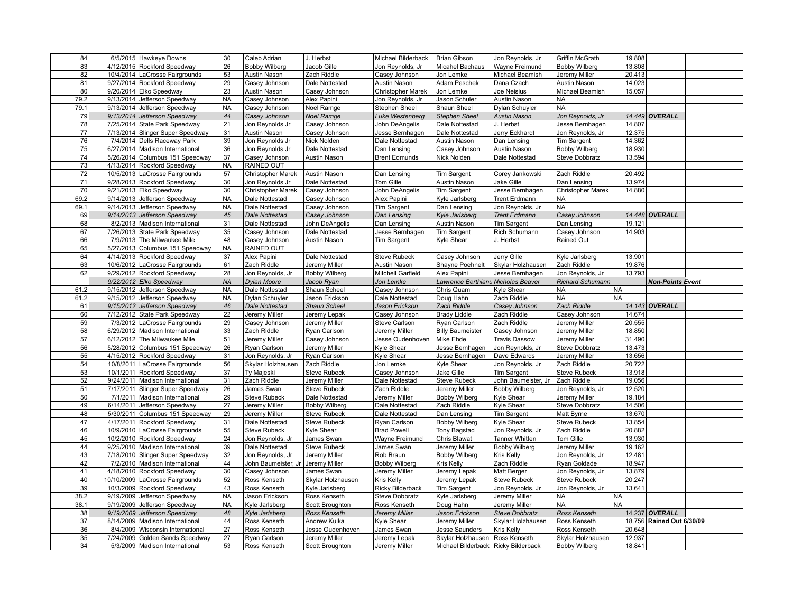| 84       |           | 6/5/2015 Hawkeye Downs                                            | 30        | Caleb Adrian                 | J. Herbst                        | Michael Bilderback            | Brian Gibson                                             | Jon Reynolds, Jr      | Griffin McGrath                           | 19.808           |                           |  |
|----------|-----------|-------------------------------------------------------------------|-----------|------------------------------|----------------------------------|-------------------------------|----------------------------------------------------------|-----------------------|-------------------------------------------|------------------|---------------------------|--|
| 83       |           | 4/12/2015 Rockford Speedway                                       | 26        | <b>Bobby Wilberg</b>         | Jacob Gille                      | Jon Reynolds, Jr              | Micahel Bachaus                                          | Wayne Freimund        | <b>Bobby Wilberg</b>                      | 13.808           |                           |  |
| 82       |           | 10/4/2014 LaCrosse Fairgrounds                                    | 53        | Austin Nason                 | Zach Riddle                      | Casey Johnson                 | Jon Lemke                                                | Michael Beamish       | Jeremy Miller                             | 20.413           |                           |  |
| 81       |           | 9/27/2014 Rockford Speedway                                       | 29        | Casey Johnson                | Dale Nottestad                   | Austin Nason                  | Adam Peschek                                             | Dana Czach            | Austin Nason                              | 14.023           |                           |  |
| 80       |           | 9/20/2014 Elko Speedway                                           | 23        | Austin Nason                 | Casey Johnson                    | Christopher Marek             | Jon Lemke                                                | Joe Neisius           | Michael Beamish                           | 15.057           |                           |  |
| 79.2     |           | 9/13/2014 Jefferson Speedway                                      | <b>NA</b> | Casey Johnson                | Alex Papini                      | Jon Reynolds, Jr              | Jason Schuler                                            | Austin Nason          | <b>NA</b>                                 |                  |                           |  |
| 79.1     |           | 9/13/2014 Jefferson Speedway                                      | <b>NA</b> | Casey Johnson                | Noel Ramge                       | Stephen Sheel                 | Shaun Sheel                                              | Dylan Schuyler        | <b>NA</b>                                 |                  |                           |  |
| 79       |           | 9/13/2014 Jefferson Speedway                                      | 44        | Casey Johnson                | <b>Noel Ramge</b>                | Luke Westenberg               | <b>Stephen Sheel</b>                                     | <b>Austin Nason</b>   | Jon Reynolds, Jr                          |                  | 14.449 OVERALL            |  |
| 78       |           | 7/25/2014 State Park Speedway                                     | 21        | Jon Reynolds Jr              | Casey Johnson                    | John DeAngelis                | Dale Nottestad                                           | J. Herbst             | Jesse Bernhagen                           | 14.807           |                           |  |
| 77       |           | 7/13/2014 Slinger Super Speedway                                  | 31        | Austin Nason                 | Casey Johnson                    | Jesse Bernhagen               | Dale Nottestad                                           | Jerry Eckhardt        | Jon Reynolds, Jr                          | 12.375           |                           |  |
| 76       |           | 7/4/2014 Dells Raceway Park                                       | 39        | Jon Reynolds Jr              | Nick Nolden                      | Dale Nottestad                | Austin Nason                                             | Dan Lensing           | Tim Sargent                               | 14.362           |                           |  |
| 75       |           | 6/27/2014 Madison International                                   | 36        | Jon Reynolds Jr              | Dale Nottestad                   | Dan Lensing                   | Casey Johnson                                            | Austin Nason          | <b>Bobby Wilberg</b>                      | 18.930           |                           |  |
| 74       |           | 5/26/2014 Columbus 151 Speedway                                   | 37        | Casey Johnson                | Austin Nason                     | <b>Brent Edmunds</b>          | Nick Nolden                                              | Dale Nottestad        | Steve Dobbratz                            | 13.594           |                           |  |
| 73       |           | 4/13/2014 Rockford Speedway                                       | <b>NA</b> | RAINED OUT                   |                                  |                               |                                                          |                       |                                           |                  |                           |  |
| 72       |           | 10/5/2013 LaCrosse Fairgrounds                                    | 57        | Christopher Marek            | Austin Nason                     | Dan Lensing                   | <b>Tim Sargent</b>                                       | Corey Jankowski       | Zach Riddle                               | 20.492           |                           |  |
| 71       |           | 9/28/2013 Rockford Speedway                                       | 30        | Jon Reynolds Jr              | Dale Nottestad                   | Tom Gille                     | Austin Nason                                             | Jake Gille            | Dan Lensing                               | 13.974           |                           |  |
| 70       |           | 9/21/2013 Elko Speedway                                           | 30        | Christopher Marek            | Casey Johnson                    | John DeAngelis                | <b>Tim Sargent</b>                                       | Jesse Bernhagen       | <b>Christopher Marek</b>                  | 14.880           |                           |  |
| 69.2     |           | 9/14/2013 Jefferson Speedway                                      | <b>NA</b> | Dale Nottestad               | Casey Johnson                    | Alex Papini                   | Kyle Jarlsberg                                           | Trent Erdmann         | NA.                                       |                  |                           |  |
| 69.1     | 9/14/2013 | Jefferson Speedway                                                | <b>NA</b> | Dale Nottestad               | Casey Johnson                    | Tim Sargent                   | Dan Lensing                                              | Jon Reynolds, Jr      | <b>NA</b>                                 |                  |                           |  |
| 69       |           | 9/14/2013 Jefferson Speedway                                      | 45        | Dale Nottestad               | Casey Johnson                    | Dan Lensing                   | Kyle Jarlsberg                                           | <b>Trent Erdmann</b>  | Casey Johnson                             |                  | 14.448 OVERALL            |  |
| 68       |           | 8/2/2013 Madison International                                    | 31        | Dale Nottestad               | John DeAngelis                   | Dan Lensing                   | Austin Nason                                             | Tim Sargent           | Dan Lensing                               | 19.121           |                           |  |
| 67       |           | 7/26/2013 State Park Speedway                                     | 35        | Casey Johnson                | Dale Nottestad                   | Jesse Bernhagen               | <b>Tim Sargent</b>                                       | Rich Schumann         | Casey Johnson                             | 14.903           |                           |  |
| 66       |           | 7/9/2013 The Milwaukee Mile                                       | 48        | Casey Johnson                | Austin Nason                     | <b>Tim Sargent</b>            | Kyle Shear                                               | J. Herbst             | Rained Out                                |                  |                           |  |
| 65       |           | 5/27/2013 Columbus 151 Speedway                                   | <b>NA</b> | RAINED OUT                   |                                  |                               |                                                          |                       |                                           |                  |                           |  |
| 64       |           | 4/14/2013 Rockford Speedway                                       | 37        | Alex Papini                  | Dale Nottestad                   | <b>Steve Rubeck</b>           | Casey Johnson                                            | Jerry Gille           | Kyle Jarlsberg                            | 13.901           |                           |  |
| 63       |           | 10/6/2012 LaCrosse Fairgrounds                                    | 61        | Zach Riddle                  | Jeremy Miller                    | Austin Nason                  | Shayne Poehnelt                                          | Skylar Holzhausen     | Zach Riddle                               | 19.876           |                           |  |
| 62       |           | 9/29/2012 Rockford Speedway                                       | 28        | Jon Reynolds, Jr             | <b>Bobby Wilberg</b>             | Mitchell Garfield             | Alex Papini                                              | Jesse Bernhagen       | Jon Reynolds, Jr                          | 13.793           |                           |  |
|          |           | $9/22/2012$ Elko Speedway                                         | <b>NA</b> | Dylan Moore                  | Jacob Ryan                       | Jon Lemke                     | Lawrence Berthianu Nicholas Beaver                       |                       | <b>Richard Schumann</b>                   |                  | <b>Non-Points Event</b>   |  |
| 61.2     |           | 9/15/2012 Jefferson Speedway                                      | <b>NA</b> | Dale Nottestad               | Shaun Scheel                     | Casey Johnson                 | Chris Quam                                               | Kyle Shear            | <b>NA</b>                                 | <b>NA</b>        |                           |  |
| 61.2     |           | 9/15/2012 Jefferson Speedway                                      | <b>NA</b> | Dylan Schuyler               | Jason Erickson                   | Dale Nottestad                | Doug Hahn                                                | Zach Riddle           | <b>NA</b>                                 | <b>NA</b>        |                           |  |
|          |           |                                                                   |           |                              |                                  |                               |                                                          |                       |                                           |                  |                           |  |
|          |           |                                                                   |           |                              |                                  |                               |                                                          |                       |                                           |                  |                           |  |
| 61       |           | 9/15/2012 Jefferson Speedway                                      | 46        | <b>Dale Nottestad</b>        | Shaun Scheel                     | Jason Erickson                | <b>Zach Riddle</b>                                       | Casey Johnson         | <b>Zach Riddle</b>                        |                  | 14.143 OVERALL            |  |
| 60       |           | 7/12/2012 State Park Speedway                                     | 22        | Jeremy Miller                | Jeremy Lepak                     | Casey Johnson                 | <b>Brady Liddle</b>                                      | Zach Riddle           | Casey Johnson                             | 14.674           |                           |  |
| 59       |           | 7/3/2012 LaCrosse Fairgrounds                                     | 29        | Casey Johnson                | Jeremy Miller                    | Steve Carlson                 | Ryan Carlson                                             | Zach Riddle           | Jeremy Miller                             | 20.555           |                           |  |
| 58       |           | 6/29/2012 Madison International                                   | 33        | Zach Riddle                  | Ryan Carlson                     | Jeremy Miller                 | <b>Billy Baumeister</b>                                  | Casey Johnson         | Jeremy Miller                             | 18.850           |                           |  |
| 57       |           | 6/12/2012 The Milwaukee Mile                                      | 51        | Jeremy Miller                | Casey Johnson                    | Jesse Oudenhoven              | Mike Ehde                                                | <b>Travis Dassow</b>  | Jeremy Miller                             | 31.490           |                           |  |
| 56       |           | 5/28/2012 Columbus 151 Speedway                                   | 26        | Ryan Carlson                 | Jeremy Miller                    | Kyle Shear                    | Jesse Bernhagen                                          | Jon Reynolds, Jr      | <b>Steve Dobbratz</b>                     | 13.473           |                           |  |
| 55       |           | 4/15/2012 Rockford Speedway                                       | 31        | Jon Reynolds, Jr             | Ryan Carlson                     | Kyle Shear                    | Jesse Bernhagen                                          | Dave Edwards          | Jeremy Miller                             | 13.656           |                           |  |
| 54       |           | 10/8/2011 LaCrosse Fairgrounds                                    | 56        | Skylar Holzhausen            | Zach Riddle                      | Jon Lemke                     | Kyle Shear                                               | Jon Reynolds, Jr      | Zach Riddle                               | 20.722           |                           |  |
| 53       |           | 10/1/2011 Rockford Speedway                                       | 37        | Ty Majeski                   | <b>Steve Rubeck</b>              | Casey Johnson                 | Jake Gille                                               | <b>Tim Sargent</b>    | <b>Steve Rubeck</b>                       | 13.918           |                           |  |
| 52       |           | 9/24/2011 Madison International                                   | 31        | Zach Riddle                  | Jeremy Miller                    | Dale Nottestad                | <b>Steve Rubeck</b>                                      | John Baumeister, Jr   | Zach Riddle                               | 19.056           |                           |  |
| 51       |           | 7/17/2011 Slinger Super Speedway                                  | 26        | James Swan                   | <b>Steve Rubeck</b>              | Zach Riddle                   | Jeremy Miller                                            | <b>Bobby Wilberg</b>  | Jon Reynolds, Jr                          | 12.520           |                           |  |
| 50       |           | 7/1/2011 Madison International                                    | 29        | <b>Steve Rubeck</b>          | Dale Nottestad                   | Jeremy Miller                 | <b>Bobby Wilberg</b>                                     | Kyle Shear            | Jeremy Miller                             | 19.184           |                           |  |
| 49       |           | 6/14/2011 Jefferson Speedway                                      | 27        | Jeremy Miller                | <b>Bobby Wilberg</b>             | Dale Nottestad                | Zach Riddle                                              | Kyle Shear            | <b>Steve Dobbratz</b>                     | 14.506           |                           |  |
| 48       |           | 5/30/2011 Columbus 151 Speedway                                   | 29        | Jeremy Miller                | <b>Steve Rubeck</b>              | Dale Nottestad                | Dan Lensing                                              | Tim Sargent           | Matt Byrne                                | 13.670           |                           |  |
| 47       |           | 4/17/2011 Rockford Speedway                                       | 31        | Dale Nottestad               | <b>Steve Rubeck</b>              | Ryan Carlson                  | <b>Bobby Wilberg</b>                                     | Kyle Shear            | <b>Steve Rubeck</b>                       | 13.854           |                           |  |
| 46       |           | 10/9/2010 LaCrosse Fairgrounds                                    | 55        | <b>Steve Rubeck</b>          | Kyle Shear                       | <b>Brad Powell</b>            | <b>Tony Bagstad</b>                                      | Jon Reynolds, Jr      | Zach Riddle                               | 20.882           |                           |  |
| 45       |           | 10/2/2010 Rockford Speedway                                       | 24        | Jon Reynolds, Jr             | James Swan                       | Wayne Freimund                | Chris Blawat                                             | Tanner Whitten        | Tom Gille                                 | 13.930           |                           |  |
| 44       |           | 9/25/2010 Madison International                                   | 39        | Dale Nottestad               | <b>Steve Rubeck</b>              | James Swan                    | Jeremy Miller                                            | <b>Bobby Wilberg</b>  | Jeremy Miller                             | 19.162           |                           |  |
| 43       |           | 7/18/2010 Slinger Super Speedway                                  | 32        | Jon Reynolds, Jr             | Jeremy Miller                    | Rob Braun                     | <b>Bobby Wilberg</b>                                     | Kris Kelly            | Jon Reynolds, Jr                          | 12.481           |                           |  |
| 42       |           | 7/2/2010 Madison International                                    | 44        | John Baumeister, Jr          | Jeremy Miller                    | <b>Bobby Wilberg</b>          | Kris Kelly                                               | Zach Riddle           | Ryan Goldade                              | 18.947           |                           |  |
| 41       |           | 4/18/2010 Rockford Speedway                                       | 30        | Casey Johnson                | James Swan                       | Jeremy Miller                 | Jeremy Lepak                                             | Matt Berger           | Jon Reynolds, Jr                          | 13.879           |                           |  |
| 40       |           | 10/10/2009 LaCrosse Fairgrounds                                   | 52        | Ross Kenseth                 | Skylar Holzhausen                | Kris Kelly                    | Jeremy Lepak                                             | <b>Steve Rubeck</b>   | Steve Rubeck                              | 20.247           |                           |  |
| 39       |           | 10/3/2009 Rockford Speedway                                       | 43        | Ross Kenseth                 | Kyle Jarlsberg                   | <b>Ricky Bilderback</b>       | Tim Sargent                                              | Jon Reynolds, Jr      | Jon Reynolds, Jr                          | 13.641           |                           |  |
| 38.2     |           | 9/19/2009 Jefferson Speedway                                      | <b>NA</b> | Jason Erickson               | Ross Kenseth                     | <b>Steve Dobbratz</b>         | Kyle Jarlsberg                                           | Jeremy Miller         | NA                                        | <b>NA</b>        |                           |  |
| 38.1     |           | 9/19/2009 Jefferson Speedway                                      | <b>NA</b> | Kyle Jarlsberg               | Scott Broughton                  | Ross Kenseth                  | Doug Hahn                                                | Jeremy Miller         | NA                                        | <b>NA</b>        |                           |  |
| 38       |           | 9/19/2009 Jefferson Speedway                                      | 48        | Kyle Jarlsberg               | <b>Ross Kenseth</b>              | Jeremy Miller                 | Jason Erickson                                           | <b>Steve Dobbratz</b> | Ross Kenseth                              |                  | 14.237 OVERALL            |  |
| 37       |           | 8/14/2009 Madison International                                   | 44        | Ross Kenseth                 | Andrew Kulka                     | Kyle Shear                    | Jeremy Miller                                            | Skylar Holzhausen     | Ross Kenseth                              |                  | 18.756 Rained Out 6/30/09 |  |
| 36       |           | 8/4/2009 Wisconsin International                                  | 27        | Ross Kenseth                 | Jesse Oudenhoven                 | James Swan                    | Jesse Saunders                                           | Kris Kelly            | Ross Kenseth                              | 20.648           |                           |  |
| 35<br>34 |           | 7/24/2009 Golden Sands Speedway<br>5/3/2009 Madison International | 27<br>53  | Ryan Carlson<br>Ross Kenseth | Jeremy Miller<br>Scott Broughton | Jeremy Lepak<br>Jeremy Miller | Skylar Holzhausen<br>Michael Bilderback Ricky Bilderback | Ross Kenseth          | Skylar Holzhausen<br><b>Bobby Wilberg</b> | 12.937<br>18.841 |                           |  |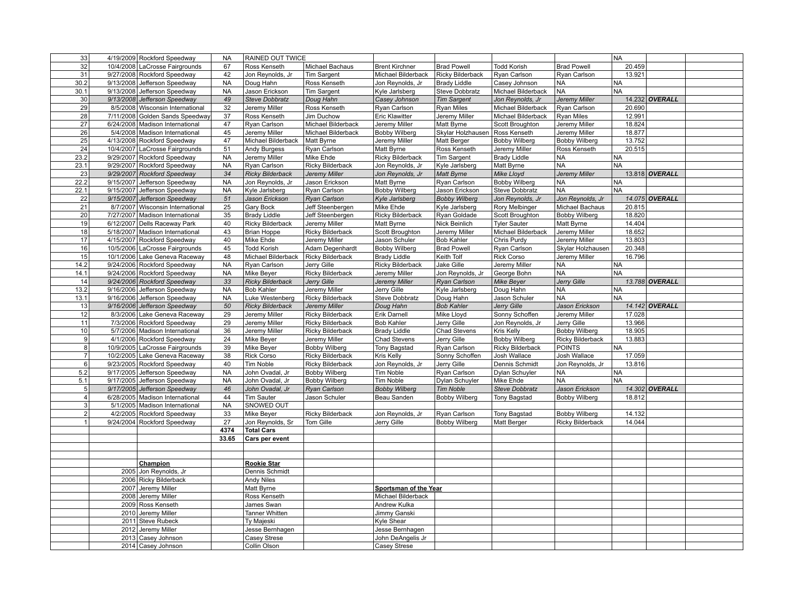| 33                             |           | 4/19/2009 Rockford Speedway              | <b>NA</b> | RAINED OUT TWICE             |                         |                                   |                         |                         |                         | <b>NA</b> |                |  |
|--------------------------------|-----------|------------------------------------------|-----------|------------------------------|-------------------------|-----------------------------------|-------------------------|-------------------------|-------------------------|-----------|----------------|--|
| 32                             |           | 10/4/2008 LaCrosse Fairgrounds           | 67        | Ross Kenseth                 | Michael Bachaus         | <b>Brent Kirchner</b>             | <b>Brad Powell</b>      | <b>Todd Korish</b>      | <b>Brad Powell</b>      | 20.459    |                |  |
| 31                             |           | 9/27/2008 Rockford Speedway              | 42        | Jon Reynolds, Jr             | <b>Tim Sargent</b>      | Michael Bilderback                | <b>Ricky Bilderback</b> | Ryan Carlson            | Ryan Carlson            | 13.921    |                |  |
| 30.2                           |           | 9/13/2008 Jefferson Speedway             | <b>NA</b> | Doug Hahn                    | Ross Kenseth            | Jon Reynolds, Jr                  | <b>Brady Liddle</b>     | Casey Johnson           | <b>NA</b>               | <b>NA</b> |                |  |
| 30.1                           |           | 9/13/2008 Jefferson Speedway             | <b>NA</b> | Jason Erickson               | Tim Sargent             | Kyle Jarlsberg                    | Steve Dobbratz          | Michael Bilderback      | <b>NA</b>               | <b>NA</b> |                |  |
| 30                             |           | 9/13/2008 Jefferson Speedway             | 49        | <b>Steve Dobbratz</b>        | Doug Hahn               | Casey Johnson                     | <b>Tim Sargent</b>      | Jon Reynolds, Jr        | Jeremy Miller           |           | 14.232 OVERALL |  |
| 29                             |           | 8/5/2008 Wisconsin International         | 32        | Jeremy Miller                | Ross Kenseth            | Ryan Carlson                      | <b>Ryan Miles</b>       | Michael Bilderback      | Ryan Carlson            | 20.690    |                |  |
| 28                             |           | 7/11/2008 Golden Sands Speedway          | 37        | Ross Kenseth                 | Jim Duchow              | <b>Eric Klawitter</b>             | Jeremy Miller           | Michael Bilderback      | <b>Ryan Miles</b>       | 12.991    |                |  |
| 27                             |           | 6/24/2008 Madison International          | 47        | Ryan Carlson                 | Michael Bilderback      | Jeremy Miller                     | Matt Byrne              | Scott Broughton         | Jeremy Miller           | 18.824    |                |  |
| 26                             |           | 5/4/2008 Madison International           | 45        | Jeremy Miller                | Michael Bilderback      | <b>Bobby Wilberg</b>              | Skylar Holzhausen       | Ross Kenseth            | Jeremy Miller           | 18.877    |                |  |
| 25                             |           | 4/13/2008 Rockford Speedway              | 47        | Michael Bilderback           | Matt Byrne              | Jeremy Miller                     | Matt Berger             | <b>Bobby Wilberg</b>    | <b>Bobby Wilberg</b>    | 13.752    |                |  |
| 24                             |           | 10/4/2007 LaCrosse Fairgrounds           | 51        | <b>Andy Burgess</b>          | Ryan Carlson            | Matt Byrne                        | Ross Kenseth            | Jeremy Miller           | Ross Kenseth            | 20.515    |                |  |
| 23.2                           |           | 9/29/2007 Rockford Speedway              | <b>NA</b> | Jeremy Miller                | Mike Ehde               | <b>Ricky Bilderback</b>           | Tim Sargent             | <b>Brady Liddle</b>     | <b>NA</b>               | <b>NA</b> |                |  |
| 23.1                           |           | 9/29/2007 Rockford Speedway              | <b>NA</b> | Ryan Carlson                 | Ricky Bilderback        | Jon Reynolds, Jr                  | Kyle Jarlsberg          | Matt Byrne              | <b>NA</b>               | <b>NA</b> |                |  |
| 23                             |           | 9/29/2007 Rockford Speedway              | 34        | <b>Ricky Bilderback</b>      | Jeremy Miller           | Jon Reynolds, Jr                  | <b>Matt Byrne</b>       | Mike Lloyd              | Jeremy Miller           |           | 13.818 OVERALL |  |
| 22.2                           | 9/15/2007 | Jefferson Speedway                       | <b>NA</b> |                              | Jason Erickson          | Matt Byrne                        | Ryan Carlson            | <b>Bobby Wilberg</b>    | <b>NA</b>               | <b>NA</b> |                |  |
| 22.1                           |           | 9/15/2007 Jefferson Speedway             | <b>NA</b> | Jon Reynolds, Jr             |                         |                                   | Jason Erickson          | Steve Dobbratz          | <b>NA</b>               | <b>NA</b> |                |  |
|                                |           |                                          |           | Kyle Jarlsberg               | Ryan Carlson            | <b>Bobby Wilberg</b>              |                         |                         |                         |           |                |  |
| 22                             |           | 9/15/2007 Jefferson Speedway             | 51        | Jason Erickson               | Ryan Carlson            | Kyle Jarlsberg                    | <b>Bobby Wilberg</b>    | Jon Reynolds, Jr        | Jon Reynolds, Jr        |           | 14.075 OVERALL |  |
| 21                             |           | 8/7/2007 Wisconsin International         | 25        | Gary Bock                    | Jeff Steenbergen        | Mike Ehde                         | Kyle Jarlsberg          | Rory Melbinger          | Michael Bachaus         | 20.815    |                |  |
| $\overline{20}$                |           | 7/27/2007 Madison International          | 35        | <b>Brady Liddle</b>          | Jeff Steenbergen        | <b>Ricky Bilderback</b>           | Ryan Goldade            | Scott Broughton         | <b>Bobby Wilberg</b>    | 18.820    |                |  |
| 19                             |           | 6/12/2007 Dells Raceway Park             | 40        | <b>Ricky Bilderback</b>      | Jeremy Miller           | Matt Byrne                        | Nick Beinlich           | Tyler Sauter            | Matt Byrne              | 14.404    |                |  |
| 18                             |           | 5/18/2007 Madison International          | 43        | <b>Brian Hoppe</b>           | Ricky Bilderback        | Scott Broughton                   | Jeremy Miller           | Michael Bilderback      | Jeremy Miller           | 18.652    |                |  |
| 17                             |           | 4/15/2007 Rockford Speedway              | 40        | Mike Ehde                    | Jeremy Miller           | Jason Schuler                     | <b>Bob Kahler</b>       | Chris Purdy             | Jeremy Miller           | 13.803    |                |  |
| 16                             |           | 10/5/2006 LaCrosse Fairgrounds           | 45        | <b>Todd Korish</b>           | Adam Degenhardt         | <b>Bobby Wilberg</b>              | <b>Brad Powell</b>      | Ryan Carlson            | Skylar Holzhausen       | 20.348    |                |  |
| 15                             |           | 10/1/2006 Lake Geneva Raceway            | 48        | Michael Bilderback           | <b>Ricky Bilderback</b> | <b>Brady Liddle</b>               | Keith Tolf              | Rick Corso              | Jeremy Miller           | 16.796    |                |  |
| 14.2                           |           | 9/24/2006 Rockford Speedway              | <b>NA</b> | Ryan Carlson                 | Jerry Gille             | <b>Ricky Bilderback</b>           | Jake Gille              | Jeremy Miller           | <b>NA</b>               | <b>NA</b> |                |  |
| 14.1                           |           | 9/24/2006 Rockford Speedway              | <b>NA</b> | Mike Beyer                   | Ricky Bilderback        | Jeremy Miller                     | Jon Reynolds, Jr        | George Bohn             | <b>NA</b>               | <b>NA</b> |                |  |
| 14                             |           | 9/24/2006 Rockford Speedway              | 33        | <b>Ricky Bilderback</b>      | Jerry Gille             | Jeremy Miller                     | <b>Ryan Carlson</b>     | Mike Beyer              | Jerry Gille             |           | 13.788 OVERALL |  |
| 13.2                           |           | 9/16/2006 Jefferson Speedway             | <b>NA</b> | <b>Bob Kahler</b>            | Jeremy Miller           | Jerry Gille                       | Kyle Jarlsberg          | Doug Hahn               | <b>NA</b>               | <b>NA</b> |                |  |
| 13.1                           |           | 9/16/2006 Jefferson Speedway             | <b>NA</b> | Luke Westenberg              | Ricky Bilderback        | <b>Steve Dobbratz</b>             |                         |                         | <b>NA</b>               | <b>NA</b> |                |  |
|                                |           |                                          |           |                              |                         |                                   | Doug Hahn               | Jason Schuler           |                         |           |                |  |
| 13                             |           | 9/16/2006 Jefferson Speedway             | 50        | <b>Ricky Bilderback</b>      | Jeremy Miller           | Doug Hahn                         | <b>Bob Kahler</b>       | Jerry Gille             | Jason Erickson          |           | 14.142 OVERALL |  |
| 12                             |           | 8/3/2006 Lake Geneva Raceway             | 29        | Jeremy Miller                | Ricky Bilderback        | Erik Darnell                      | Mike Lloyd              | Sonny Schoffen          | Jeremy Miller           | 17.028    |                |  |
| 11                             |           | 7/3/2006 Rockford Speedway               | 29        | Jeremy Miller                | <b>Ricky Bilderback</b> | <b>Bob Kahler</b>                 | Jerry Gille             | Jon Reynolds, Jr        | Jerry Gille             | 13.966    |                |  |
| 10 <sup>1</sup>                |           | 5/7/2006 Madison International           | 36        | Jeremy Miller                | Ricky Bilderback        | <b>Brady Liddle</b>               | Chad Stevens            | Kris Kelly              | <b>Bobby Wilberg</b>    | 18.905    |                |  |
| 9                              |           | 4/1/2006 Rockford Speedway               | 24        | Mike Beyer                   | Jeremy Miller           | <b>Chad Stevens</b>               | Jerry Gille             | <b>Bobby Wilberg</b>    | Ricky Bilderback        | 13.883    |                |  |
| 8                              |           | 10/9/2005 LaCrosse Fairgrounds           | 39        | Mike Beyer                   | <b>Bobby Wilberg</b>    | Tony Bagstad                      | Ryan Carlson            | <b>Ricky Bilderback</b> | <b>POINTS</b>           | <b>NA</b> |                |  |
| $\overline{7}$                 |           | 10/2/2005 Lake Geneva Raceway            | 38        | Rick Corso                   | <b>Ricky Bilderback</b> | Kris Kelly                        | Sonny Schoffen          | Josh Wallace            | Josh Wallace            | 17.059    |                |  |
| $6 \overline{6}$               |           | 9/23/2005 Rockford Speedway              | 40        | Tim Noble                    | <b>Ricky Bilderback</b> |                                   | Jerry Gille             | Dennis Schmidt          | Jon Reynolds, Jr        | 13.816    |                |  |
|                                |           |                                          |           |                              |                         | Jon Reynolds, Jr                  |                         |                         | <b>NA</b>               |           |                |  |
| 5.2                            | 9/17/2005 | Jefferson Speedway                       | <b>NA</b> | John Ovadal, Jr              | <b>Bobby Wilberg</b>    | Tim Noble                         | Ryan Carlson            | Dylan Schuyler          |                         | <b>NA</b> |                |  |
| 5.1                            |           | 9/17/2005 Jefferson Speedway             | <b>NA</b> | John Ovadal, Jr              | <b>Bobby Wilberg</b>    | Tim Noble                         | Dylan Schuyler          | Mike Ehde               | <b>NA</b>               | <b>NA</b> |                |  |
| 5 <sup>5</sup>                 |           | 9/17/2005 Jefferson Speedway             | 46        | John Ovadal, Jr              | Ryan Carlson            | <b>Bobby Wilberg</b>              | <b>Tim Noble</b>        | <b>Steve Dobbratz</b>   | Jason Erickson          |           | 14.302 OVERALL |  |
| $\overline{4}$<br>$\mathbf{3}$ |           | 6/28/2005 Madison International          | 44        | <b>Tim Sauter</b>            | Jason Schuler           | Beau Sanden                       | <b>Bobby Wilberg</b>    | <b>Tony Bagstad</b>     | <b>Bobby Wilberg</b>    | 18.812    |                |  |
|                                |           | 5/1/2005 Madison International           | <b>NA</b> | SNOWED OUT                   |                         |                                   |                         |                         |                         |           |                |  |
| $\overline{2}$                 |           | 4/2/2005 Rockford Speedway               | 33        | Mike Beyer                   | <b>Ricky Bilderback</b> | Jon Reynolds, Jr                  | Ryan Carlson            | <b>Tony Bagstad</b>     | <b>Bobby Wilberg</b>    | 14.132    |                |  |
|                                |           | 9/24/2004 Rockford Speedway              | 27        | Jon Reynolds, Sr             | Tom Gille               | Jerry Gille                       | <b>Bobby Wilberg</b>    | Matt Berger             | <b>Ricky Bilderback</b> | 14.044    |                |  |
|                                |           |                                          | 4374      | <b>Total Cars</b>            |                         |                                   |                         |                         |                         |           |                |  |
|                                |           |                                          | 33.65     | Cars per event               |                         |                                   |                         |                         |                         |           |                |  |
|                                |           |                                          |           |                              |                         |                                   |                         |                         |                         |           |                |  |
|                                |           |                                          |           |                              |                         |                                   |                         |                         |                         |           |                |  |
|                                |           | Champion                                 |           | <b>Rookie Star</b>           |                         |                                   |                         |                         |                         |           |                |  |
|                                | 2005      | Jon Reynolds, Jr                         |           | Dennis Schmidt               |                         |                                   |                         |                         |                         |           |                |  |
|                                | 2006      | <b>Ricky Bilderback</b>                  |           | <b>Andy Niles</b>            |                         |                                   |                         |                         |                         |           |                |  |
|                                | 2007      | Jeremy Miller                            |           | Matt Byrne                   |                         | Sportsman of the Year             |                         |                         |                         |           |                |  |
|                                | 2008      | Jeremy Miller                            |           | Ross Kenseth                 |                         | Michael Bilderback                |                         |                         |                         |           |                |  |
|                                | 2009      | Ross Kenseth                             |           | James Swan                   |                         | Andrew Kulka                      |                         |                         |                         |           |                |  |
|                                | 2010      | Jeremy Miller                            |           | Tanner Whitten               |                         | Jimmy Ganski                      |                         |                         |                         |           |                |  |
|                                | 2011      | <b>Steve Rubeck</b>                      |           | Ty Majeski                   |                         | Kyle Shear                        |                         |                         |                         |           |                |  |
|                                | 2012      | Jeremy Miller                            |           | Jesse Bernhagen              |                         | Jesse Bernhagen                   |                         |                         |                         |           |                |  |
|                                |           | 2013 Casey Johnson<br>2014 Casey Johnson |           | Casey Strese<br>Collin Olson |                         | John DeAngelis Jr<br>Casey Strese |                         |                         |                         |           |                |  |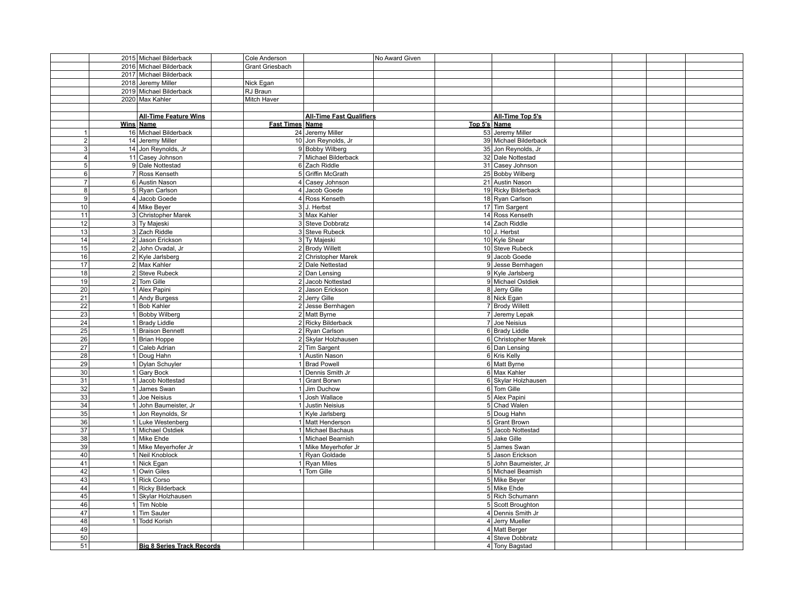|                         |      | 2015 Michael Bilderback           | Cole Anderson          |                                 | No Award Given |              |                       |  |  |
|-------------------------|------|-----------------------------------|------------------------|---------------------------------|----------------|--------------|-----------------------|--|--|
|                         |      | 2016 Michael Bilderback           | <b>Grant Griesbach</b> |                                 |                |              |                       |  |  |
|                         |      | 2017 Michael Bilderback           |                        |                                 |                |              |                       |  |  |
|                         | 2018 | Jeremy Miller                     | Nick Egan              |                                 |                |              |                       |  |  |
|                         |      | 2019 Michael Bilderback           | RJ Braun               |                                 |                |              |                       |  |  |
|                         |      | 2020 Max Kahler                   | Mitch Haver            |                                 |                |              |                       |  |  |
|                         |      |                                   |                        |                                 |                |              |                       |  |  |
|                         |      | <b>All-Time Feature Wins</b>      |                        | <b>All-Time Fast Qualifiers</b> |                |              | All-Time Top 5's      |  |  |
|                         |      | Wins Name                         | Fast Times Name        |                                 |                | Top 5's Name |                       |  |  |
| 1                       |      | 16 Michael Bilderback             |                        | 24 Jeremy Miller                |                |              | 53 Jeremy Miller      |  |  |
| $\overline{2}$          |      | 14 Jeremy Miller                  |                        | 10 Jon Reynolds, Jr             |                |              | 39 Michael Bilderback |  |  |
| $\overline{3}$          |      | 14 Jon Reynolds, Jr               |                        | 9 Bobby Wilberg                 |                |              | 35 Jon Reynolds, Jr   |  |  |
| $\overline{\mathbf{A}}$ |      | 11 Casey Johnson                  |                        | 7 Michael Bilderback            |                |              | 32 Dale Nottestad     |  |  |
| 5 <sup>5</sup>          |      | 9 Dale Nottestad                  |                        | 6 Zach Riddle                   |                |              | 31 Casey Johnson      |  |  |
| $6 \overline{6}$        |      | 7 Ross Kenseth                    |                        | 5 Griffin McGrath               |                |              | 25 Bobby Wilberg      |  |  |
| $\overline{7}$          |      | 6 Austin Nason                    |                        | 4 Casey Johnson                 |                |              | 21 Austin Nason       |  |  |
|                         |      | 5 Ryan Carlson                    |                        |                                 |                |              |                       |  |  |
| 8<br>9                  |      |                                   |                        | 4 Jacob Goede                   |                |              | 19 Ricky Bilderback   |  |  |
|                         |      | 4 Jacob Goede                     |                        | 4 Ross Kenseth                  |                |              | 18 Ryan Carlson       |  |  |
| 10                      |      | 4 Mike Beyer                      |                        | $3$ J. Herbst                   |                |              | 17 Tim Sargent        |  |  |
| 11                      |      | 3 Christopher Marek               |                        | 3 Max Kahler                    |                |              | 14 Ross Kenseth       |  |  |
| 12                      |      | 3 Ty Majeski                      |                        | 3 Steve Dobbratz                |                |              | 14 Zach Riddle        |  |  |
| 13                      |      | 3 Zach Riddle                     |                        | 3 Steve Rubeck                  |                |              | $10$ J. Herbst        |  |  |
| 14                      |      | 2 Jason Erickson                  |                        | 3 Ty Majeski                    |                |              | 10 Kyle Shear         |  |  |
| 15                      |      | 2 John Ovadal, Jr                 |                        | 2 Brody Willett                 |                |              | 10 Steve Rubeck       |  |  |
| 16                      |      | 2 Kyle Jarlsberg                  |                        | 2 Christopher Marek             |                |              | 9 Jacob Goede         |  |  |
| 17                      |      | 2 Max Kahler                      |                        | 2 Dale Nettestad                |                |              | 9 Jesse Bernhagen     |  |  |
| 18                      |      | 2 Steve Rubeck                    |                        | $2$ Dan Lensing                 |                |              | 9 Kyle Jarlsberg      |  |  |
| 19                      |      | $2$ Tom Gille                     |                        | 2 Jacob Nottestad               |                |              | 9 Michael Ostdiek     |  |  |
| 20                      |      | 1 Alex Papini                     |                        | 2 Jason Erickson                |                |              | 8 Jerry Gille         |  |  |
| 21                      |      | 1 Andy Burgess                    |                        | 2 Jerry Gille                   |                |              | 8 Nick Egan           |  |  |
| 22                      |      | 1 Bob Kahler                      |                        | 2 Jesse Bernhagen               |                |              | 7 Brody Willett       |  |  |
| 23                      |      | 1 Bobby Wilberg                   |                        | 2 Matt Byrne                    |                |              | 7 Jeremy Lepak        |  |  |
| 24                      |      | 1 Brady Liddle                    |                        | 2 Ricky Bilderback              |                |              | 7 Joe Neisius         |  |  |
| 25                      |      | 1 Braison Bennett                 |                        | 2 Ryan Carlson                  |                |              | 6 Brady Liddle        |  |  |
| 26                      |      | 1 Brian Hoppe                     |                        | 2 Skylar Holzhausen             |                |              | 6 Christopher Marek   |  |  |
| 27                      |      | 1 Caleb Adrian                    |                        | 2 Tim Sargent                   |                |              | 6 Dan Lensing         |  |  |
| 28                      |      | 1 Doug Hahn                       |                        | 1 Austin Nason                  |                |              | 6 Kris Kelly          |  |  |
| 29                      |      | 1 Dylan Schuyler                  |                        | 1 Brad Powell                   |                |              | 6 Matt Byrne          |  |  |
| 30                      |      | 1 Gary Bock                       |                        | 1 Dennis Smith Jr               |                |              | 6 Max Kahler          |  |  |
| 31                      |      | 1 Jacob Nottestad                 |                        | 1 Grant Borwn                   |                |              | 6 Skylar Holzhausen   |  |  |
| 32                      |      | 1 James Swan                      |                        | 1 Jim Duchow                    |                |              | 6 Tom Gille           |  |  |
| 33                      |      | 1 Joe Neisius                     |                        | 1 Josh Wallace                  |                |              | 5 Alex Papini         |  |  |
| 34                      |      | 1 John Baumeister, Jr             |                        | 1 Justin Neisius                |                |              | 5 Chad Walen          |  |  |
| 35                      |      | 1 Jon Reynolds, Sr                |                        | 1 Kyle Jarlsberg                |                |              | 5 Doug Hahn           |  |  |
| 36                      |      | 1 Luke Westenberg                 |                        | 1 Matt Henderson                |                |              | 5 Grant Brown         |  |  |
| $\overline{37}$         |      | 1 Michael Ostdiek                 |                        | 1 Michael Bachaus               |                |              | 5 Jacob Nottestad     |  |  |
| 38                      |      | 1 Mike Ehde                       |                        | 1 Michael Bearnish              |                |              | 5 Jake Gille          |  |  |
| 39                      |      | 1 Mike Meyerhofer Jr              |                        | 1 Mike Meyerhofer Jr            |                |              | 5 James Swan          |  |  |
| 40                      |      | 1 Neil Knoblock                   |                        | 1 Ryan Goldade                  |                |              | 5 Jason Erickson      |  |  |
| 41                      |      | 1 Nick Egan                       |                        | 1 Ryan Miles                    |                |              | 5 John Baumeister, Jr |  |  |
| 42                      |      | 1 Owin Giles                      |                        | 1 Tom Gille                     |                |              | 5 Michael Beamish     |  |  |
| 43                      |      | 1 Rick Corso                      |                        |                                 |                |              | 5 Mike Beyer          |  |  |
| 44                      |      | 1 Ricky Bilderback                |                        |                                 |                |              | 5 Mike Ehde           |  |  |
| 45                      |      | 1 Skylar Holzhausen               |                        |                                 |                |              | 5 Rich Schumann       |  |  |
| 46                      |      | $1$ Tim Noble                     |                        |                                 |                |              | 5 Scott Broughton     |  |  |
| 47                      |      | 1 Tim Sauter                      |                        |                                 |                |              | 4 Dennis Smith Jr     |  |  |
| 48                      |      | 1 Todd Korish                     |                        |                                 |                |              | 4 Jerry Mueller       |  |  |
| 49                      |      |                                   |                        |                                 |                |              | 4 Matt Berger         |  |  |
| 50                      |      |                                   |                        |                                 |                |              | 4 Steve Dobbratz      |  |  |
|                         |      |                                   |                        |                                 |                |              |                       |  |  |
| 51                      |      | <b>Big 8 Series Track Records</b> |                        |                                 |                |              | 4 Tony Bagstad        |  |  |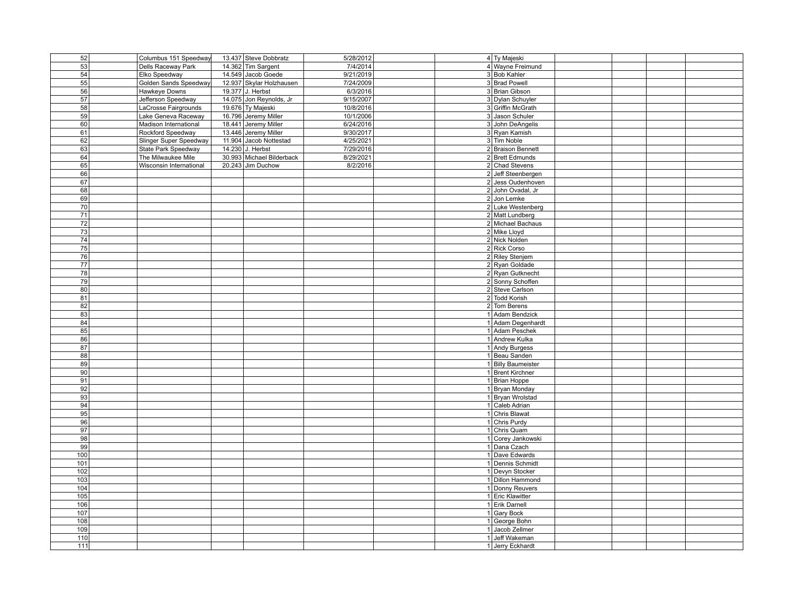| 52              | Columbus 151 Speedway   | 13.437 Steve Dobbratz     | 5/28/2012 | 4 Ty Majeski                      |  |
|-----------------|-------------------------|---------------------------|-----------|-----------------------------------|--|
| 53              | Dells Raceway Park      | 14.362 Tim Sargent        | 7/4/2014  | 4 Wayne Freimund                  |  |
| 54              | Elko Speedway           | 14.549 Jacob Goede        | 9/21/2019 | 3 Bob Kahler                      |  |
| 55              | Golden Sands Speedway   | 12.937 Skylar Holzhausen  | 7/24/2009 | 3 Brad Powell                     |  |
| 56              | Hawkeye Downs           | 19.377 J. Herbst          | 6/3/2016  | 3 Brian Gibson                    |  |
| 57              |                         | 14.075 Jon Reynolds, Jr   | 9/15/2007 | 3 Dylan Schuyler                  |  |
|                 | Jefferson Speedway      |                           |           |                                   |  |
| 58              | LaCrosse Fairgrounds    | 19.676 Ty Majeski         | 10/8/2016 | 3 Griffin McGrath                 |  |
| 59              | Lake Geneva Raceway     | 16.796 Jeremy Miller      | 10/1/2006 | 3 Jason Schuler                   |  |
| 60              | Madison International   | 18.441 Jeremy Miller      | 6/24/2016 | 3 John DeAngelis                  |  |
| 61              | Rockford Speedway       | 13.446 Jeremy Miller      | 9/30/2017 | 3 Ryan Kamish                     |  |
| 62              | Slinger Super Speedway  | 11.904 Jacob Nottestad    | 4/25/2021 | 3 Tim Noble                       |  |
| 63              | State Park Speedway     | 14.230 J. Herbst          | 7/29/2016 | 2 Braison Bennett                 |  |
| 64              | The Milwaukee Mile      | 30.993 Michael Bilderback | 8/29/2021 | 2 Brett Edmunds                   |  |
| 65              | Wisconsin International | 20.243 Jim Duchow         | 8/2/2016  | 2 Chad Stevens                    |  |
| 66              |                         |                           |           | 2 Jeff Steenbergen                |  |
| 67              |                         |                           |           | 2 Jess Oudenhoven                 |  |
| 68              |                         |                           |           | 2 John Ovadal, Jr                 |  |
| 69              |                         |                           |           | 2 Jon Lemke                       |  |
| 70              |                         |                           |           | 2 Luke Westenberg                 |  |
| 71              |                         |                           |           | 2 Matt Lundberg                   |  |
|                 |                         |                           |           |                                   |  |
| 72              |                         |                           |           | 2 Michael Bachaus<br>2 Mike Lloyd |  |
| 73              |                         |                           |           |                                   |  |
| $\overline{74}$ |                         |                           |           | 2 Nick Nolden                     |  |
| 75              |                         |                           |           | 2 Rick Corso                      |  |
| 76              |                         |                           |           | 2 Riley Stenjem                   |  |
| 77              |                         |                           |           | 2 Ryan Goldade                    |  |
| 78              |                         |                           |           | 2 Ryan Gutknecht                  |  |
| 79              |                         |                           |           | 2 Sonny Schoffen                  |  |
| 80              |                         |                           |           | 2 Steve Carlson                   |  |
| 81              |                         |                           |           | 2 Todd Korish                     |  |
| 82              |                         |                           |           | 2 Tom Berens                      |  |
| 83              |                         |                           |           | 1 Adam Bendzick                   |  |
| 84              |                         |                           |           | 1 Adam Degenhardt                 |  |
| 85              |                         |                           |           | 1 Adam Peschek                    |  |
| 86              |                         |                           |           | 1 Andrew Kulka                    |  |
| 87              |                         |                           |           | 1 Andy Burgess                    |  |
| 88              |                         |                           |           | 1 Beau Sanden                     |  |
| 89              |                         |                           |           | 1 Billy Baumeister                |  |
|                 |                         |                           |           | 1 Brent Kirchner                  |  |
| 90              |                         |                           |           |                                   |  |
| 91              |                         |                           |           | 1 Brian Hoppe                     |  |
| 92              |                         |                           |           | 1 Bryan Monday                    |  |
| 93              |                         |                           |           | 1 Bryan Wrolstad                  |  |
| 94              |                         |                           |           | 1 Caleb Adrian                    |  |
| 95              |                         |                           |           | 1 Chris Blawat                    |  |
| 96              |                         |                           |           | 1 Chris Purdy                     |  |
| 97              |                         |                           |           | 1 Chris Quam                      |  |
| 98              |                         |                           |           | 1 Corey Jankowski                 |  |
| 99              |                         |                           |           | 1 Dana Czach                      |  |
| 100             |                         |                           |           | 1 Dave Edwards                    |  |
| 101             |                         |                           |           | 1 Dennis Schmidt                  |  |
| 102             |                         |                           |           | 1 Devyn Stocker                   |  |
| 103             |                         |                           |           | 1 Dillon Hammond                  |  |
| 104             |                         |                           |           | 1 Donny Reuvers                   |  |
| 105             |                         |                           |           | 1 Eric Klawitter                  |  |
|                 |                         |                           |           | 1 Erik Darnell                    |  |
| 106             |                         |                           |           |                                   |  |
| 107             |                         |                           |           | 1 Gary Bock                       |  |
| 108             |                         |                           |           | 1 George Bohn                     |  |
| 109             |                         |                           |           | 1 Jacob Zellmer                   |  |
| 110             |                         |                           |           | 1 Jeff Wakeman                    |  |
| 111             |                         |                           |           | 1 Jerry Eckhardt                  |  |